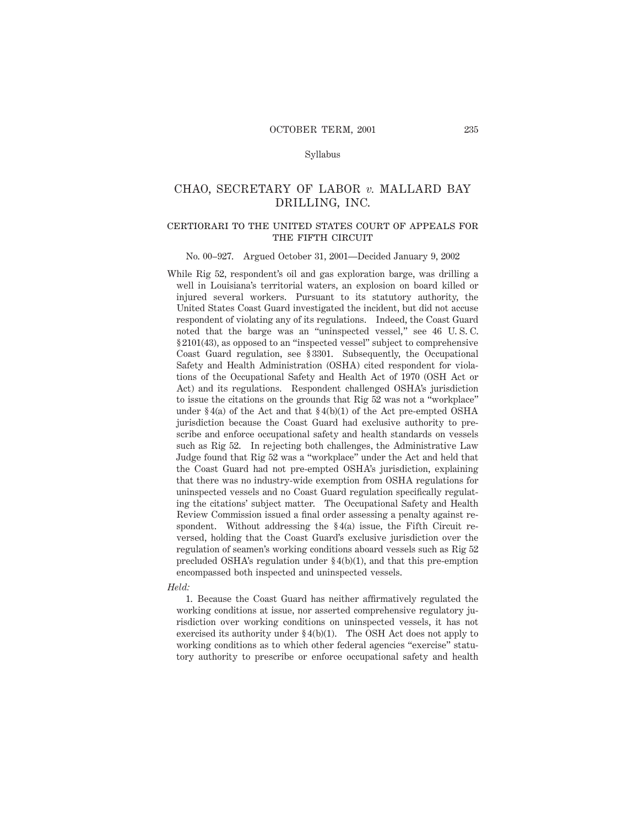### Syllabus

# CHAO, SECRETARY OF LABOR *v.* MALLARD BAY DRILLING, INC.

### certiorari to the united states court of appeals forTHE FIFTH CIRCUIT

#### No. 00–927. Argued October 31, 2001—Decided January 9, 2002

While Rig 52, respondent's oil and gas exploration barge, was drilling a well in Louisiana's territorial waters, an explosion on board killed or injured several workers. Pursuant to its statutory authority, the United States Coast Guard investigated the incident, but did not accuse respondent of violating any of its regulations. Indeed, the Coast Guard noted that the barge was an "uninspected vessel," see 46 U. S. C. § 2101(43), as opposed to an "inspected vessel" subject to comprehensive Coast Guard regulation, see § 3301. Subsequently, the Occupational Safety and Health Administration (OSHA) cited respondent for violations of the Occupational Safety and Health Act of 1970 (OSH Act or Act) and its regulations. Respondent challenged OSHA's jurisdiction to issue the citations on the grounds that Rig 52 was not a "workplace" under  $§$ 4(a) of the Act and that  $§$ 4(b)(1) of the Act pre-empted OSHA jurisdiction because the Coast Guard had exclusive authority to prescribe and enforce occupational safety and health standards on vessels such as Rig 52. In rejecting both challenges, the Administrative Law Judge found that Rig 52 was a "workplace" under the Act and held that the Coast Guard had not pre-empted OSHA's jurisdiction, explaining that there was no industry-wide exemption from OSHA regulations for uninspected vessels and no Coast Guard regulation specifically regulating the citations' subject matter. The Occupational Safety and Health Review Commission issued a final order assessing a penalty against respondent. Without addressing the § 4(a) issue, the Fifth Circuit reversed, holding that the Coast Guard's exclusive jurisdiction over the regulation of seamen's working conditions aboard vessels such as Rig 52 precluded OSHA's regulation under § 4(b)(1), and that this pre-emption encompassed both inspected and uninspected vessels.

#### *Held:*

1. Because the Coast Guard has neither affirmatively regulated the working conditions at issue, nor asserted comprehensive regulatory jurisdiction over working conditions on uninspected vessels, it has not exercised its authority under § 4(b)(1). The OSH Act does not apply to working conditions as to which other federal agencies "exercise" statutory authority to prescribe or enforce occupational safety and health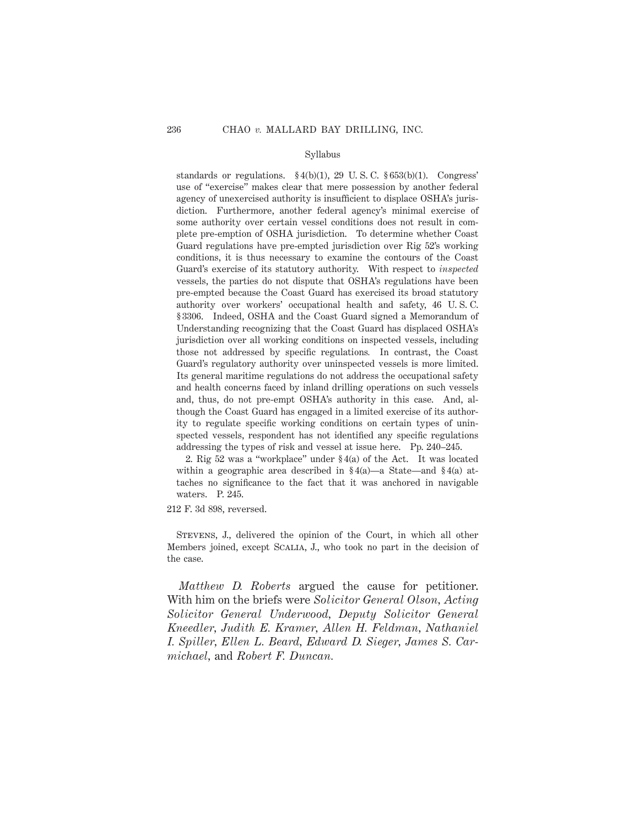### Syllabus

standards or regulations.  $\S 4(b)(1)$ , 29 U.S.C.  $\S 653(b)(1)$ . Congress' use of "exercise" makes clear that mere possession by another federal agency of unexercised authority is insufficient to displace OSHA's jurisdiction. Furthermore, another federal agency's minimal exercise of some authority over certain vessel conditions does not result in complete pre-emption of OSHA jurisdiction. To determine whether Coast Guard regulations have pre-empted jurisdiction over Rig 52's working conditions, it is thus necessary to examine the contours of the Coast Guard's exercise of its statutory authority. With respect to *inspected* vessels, the parties do not dispute that OSHA's regulations have been pre-empted because the Coast Guard has exercised its broad statutory authority over workers' occupational health and safety, 46 U. S. C. § 3306. Indeed, OSHA and the Coast Guard signed a Memorandum of Understanding recognizing that the Coast Guard has displaced OSHA's jurisdiction over all working conditions on inspected vessels, including those not addressed by specific regulations*.* In contrast, the Coast Guard's regulatory authority over uninspected vessels is more limited. Its general maritime regulations do not address the occupational safety and health concerns faced by inland drilling operations on such vessels and, thus, do not pre-empt OSHA's authority in this case. And, although the Coast Guard has engaged in a limited exercise of its authority to regulate specific working conditions on certain types of uninspected vessels, respondent has not identified any specific regulations addressing the types of risk and vessel at issue here. Pp. 240–245.

2. Rig 52 was a "workplace" under § 4(a) of the Act. It was located within a geographic area described in  $\S 4(a)$ —a State—and  $\S 4(a)$  attaches no significance to the fact that it was anchored in navigable waters. P. 245.

212 F. 3d 898, reversed.

Stevens, J., delivered the opinion of the Court, in which all other Members joined, except Scalia, J., who took no part in the decision of the case.

*Matthew D. Roberts* argued the cause for petitioner. With him on the briefs were *Solicitor General Olson, Acting Solicitor General Underwood, Deputy Solicitor General Kneedler, Judith E. Kramer, Allen H. Feldman, Nathaniel I. Spiller, Ellen L. Beard, Edward D. Sieger, James S. Carmichael,* and *Robert F. Duncan.*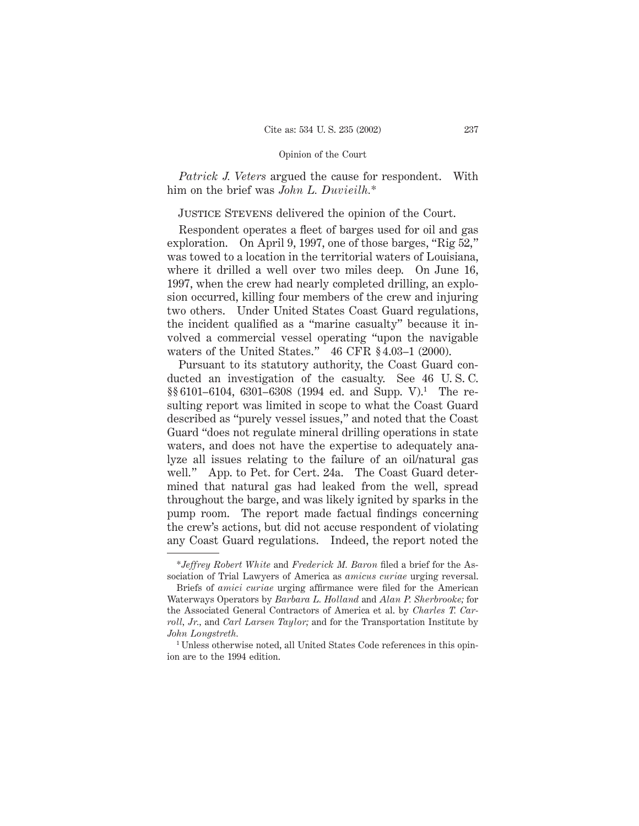*Patrick J. Veters* argued the cause for respondent. With him on the brief was *John L. Duvieilh.*\*

Justice Stevens delivered the opinion of the Court.

Respondent operates a fleet of barges used for oil and gas exploration. On April 9, 1997, one of those barges, "Rig 52," was towed to a location in the territorial waters of Louisiana, where it drilled a well over two miles deep. On June 16, 1997, when the crew had nearly completed drilling, an explosion occurred, killing four members of the crew and injuring two others. Under United States Coast Guard regulations, the incident qualified as a "marine casualty" because it involved a commercial vessel operating "upon the navigable waters of the United States." 46 CFR § 4.03–1 (2000).

Pursuant to its statutory authority, the Coast Guard conducted an investigation of the casualty. See 46 U. S. C.  $\S § 6101-6104$ , 6301-6308 (1994 ed. and Supp. V).<sup>1</sup> The resulting report was limited in scope to what the Coast Guard described as "purely vessel issues," and noted that the Coast Guard "does not regulate mineral drilling operations in state waters, and does not have the expertise to adequately analyze all issues relating to the failure of an oil/natural gas well." App. to Pet. for Cert. 24a. The Coast Guard determined that natural gas had leaked from the well, spread throughout the barge, and was likely ignited by sparks in the pump room. The report made factual findings concerning the crew's actions, but did not accuse respondent of violating any Coast Guard regulations. Indeed, the report noted the

<sup>\*</sup>*Jeffrey Robert White* and *Frederick M. Baron* filed a brief for the Association of Trial Lawyers of America as *amicus curiae* urging reversal.

Briefs of *amici curiae* urging affirmance were filed for the American Waterways Operators by *Barbara L. Holland* and *Alan P. Sherbrooke;* for the Associated General Contractors of America et al. by *Charles T. Carroll, Jr.,* and *Carl Larsen Taylor;* and for the Transportation Institute by *John Longstreth.*

<sup>&</sup>lt;sup>1</sup> Unless otherwise noted, all United States Code references in this opinion are to the 1994 edition.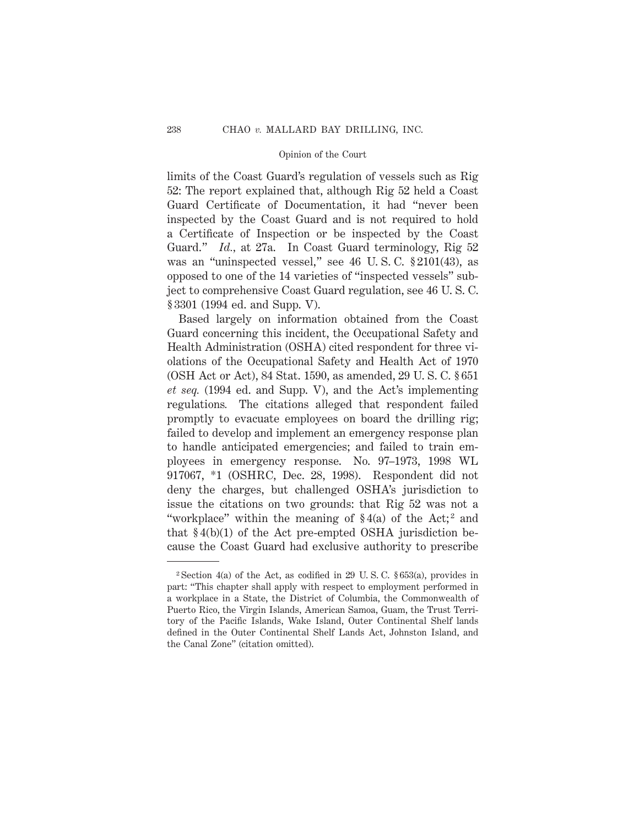limits of the Coast Guard's regulation of vessels such as Rig 52: The report explained that, although Rig 52 held a Coast Guard Certificate of Documentation, it had "never been inspected by the Coast Guard and is not required to hold a Certificate of Inspection or be inspected by the Coast Guard." *Id.,* at 27a. In Coast Guard terminology, Rig 52 was an "uninspected vessel," see 46 U. S. C. § 2101(43), as opposed to one of the 14 varieties of "inspected vessels" subject to comprehensive Coast Guard regulation, see 46 U. S. C. § 3301 (1994 ed. and Supp. V).

Based largely on information obtained from the Coast Guard concerning this incident, the Occupational Safety and Health Administration (OSHA) cited respondent for three violations of the Occupational Safety and Health Act of 1970 (OSH Act or Act), 84 Stat. 1590, as amended, 29 U. S. C. § 651 *et seq.* (1994 ed. and Supp. V), and the Act's implementing regulations*.* The citations alleged that respondent failed promptly to evacuate employees on board the drilling rig; failed to develop and implement an emergency response plan to handle anticipated emergencies; and failed to train employees in emergency response. No. 97–1973, 1998 WL 917067, \*1 (OSHRC, Dec. 28, 1998). Respondent did not deny the charges, but challenged OSHA's jurisdiction to issue the citations on two grounds: that Rig 52 was not a "workplace" within the meaning of  $\S 4(a)$  of the Act;<sup>2</sup> and that  $§4(b)(1)$  of the Act pre-empted OSHA jurisdiction because the Coast Guard had exclusive authority to prescribe

<sup>&</sup>lt;sup>2</sup> Section 4(a) of the Act, as codified in 29 U.S.C.  $$653(a)$ , provides in part: "This chapter shall apply with respect to employment performed in a workplace in a State, the District of Columbia, the Commonwealth of Puerto Rico, the Virgin Islands, American Samoa, Guam, the Trust Territory of the Pacific Islands, Wake Island, Outer Continental Shelf lands defined in the Outer Continental Shelf Lands Act, Johnston Island, and the Canal Zone" (citation omitted).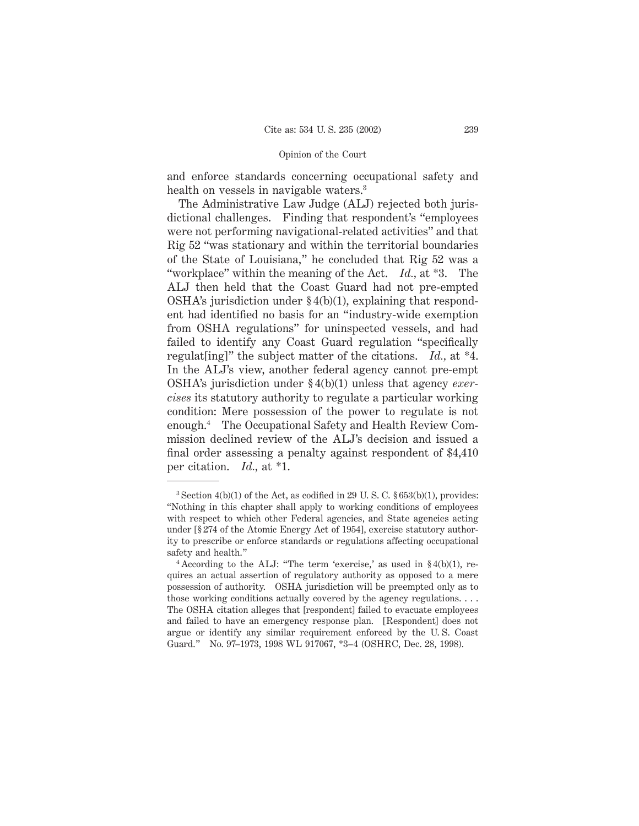and enforce standards concerning occupational safety and health on vessels in navigable waters.<sup>3</sup>

The Administrative Law Judge (ALJ) rejected both jurisdictional challenges. Finding that respondent's "employees were not performing navigational-related activities" and that Rig 52 "was stationary and within the territorial boundaries of the State of Louisiana," he concluded that Rig 52 was a "workplace" within the meaning of the Act. *Id.,* at \*3. The ALJ then held that the Coast Guard had not pre-empted OSHA's jurisdiction under  $\S 4(b)(1)$ , explaining that respondent had identified no basis for an "industry-wide exemption from OSHA regulations" for uninspected vessels, and had failed to identify any Coast Guard regulation "specifically regulat[ing]" the subject matter of the citations. *Id.,* at \*4. In the ALJ's view, another federal agency cannot pre-empt OSHA's jurisdiction under § 4(b)(1) unless that agency *exercises* its statutory authority to regulate a particular working condition: Mere possession of the power to regulate is not enough.4 The Occupational Safety and Health Review Commission declined review of the ALJ's decision and issued a final order assessing a penalty against respondent of \$4,410 per citation. *Id.,* at \*1.

 $3$  Section 4(b)(1) of the Act, as codified in 29 U.S.C.  $§ 653(b)(1)$ , provides: "Nothing in this chapter shall apply to working conditions of employees with respect to which other Federal agencies, and State agencies acting under [§ 274 of the Atomic Energy Act of 1954], exercise statutory authority to prescribe or enforce standards or regulations affecting occupational safety and health."

<sup>&</sup>lt;sup>4</sup> According to the ALJ: "The term 'exercise,' as used in  $\S 4(b)(1)$ , requires an actual assertion of regulatory authority as opposed to a mere possession of authority. OSHA jurisdiction will be preempted only as to those working conditions actually covered by the agency regulations. . . . The OSHA citation alleges that [respondent] failed to evacuate employees and failed to have an emergency response plan. [Respondent] does not argue or identify any similar requirement enforced by the U. S. Coast Guard." No. 97–1973, 1998 WL 917067, \*3–4 (OSHRC, Dec. 28, 1998).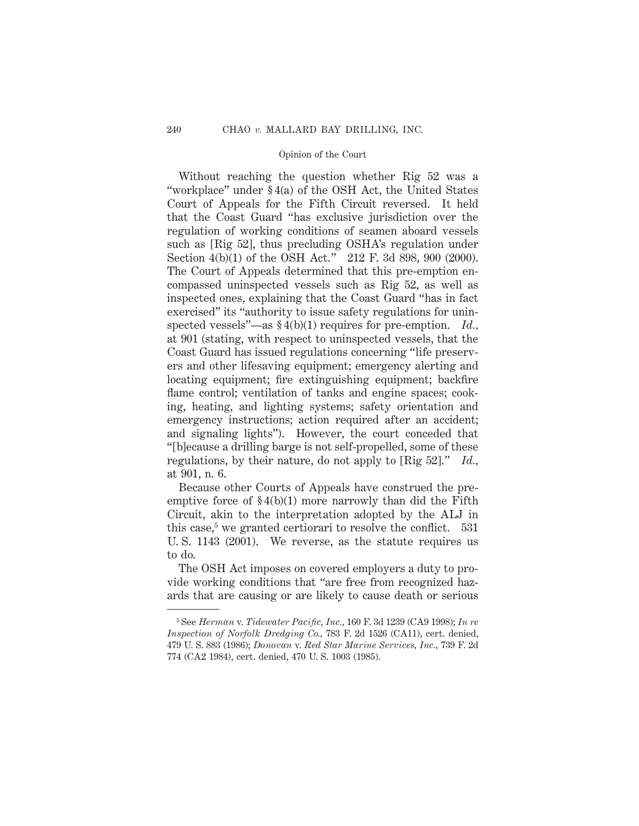Without reaching the question whether Rig 52 was a "workplace" under § 4(a) of the OSH Act, the United States Court of Appeals for the Fifth Circuit reversed. It held that the Coast Guard "has exclusive jurisdiction over the regulation of working conditions of seamen aboard vessels such as [Rig 52], thus precluding OSHA's regulation under Section 4(b)(1) of the OSH Act." 212 F. 3d 898, 900 (2000). The Court of Appeals determined that this pre-emption encompassed uninspected vessels such as Rig 52, as well as inspected ones, explaining that the Coast Guard "has in fact exercised" its "authority to issue safety regulations for uninspected vessels"—as § 4(b)(1) requires for pre-emption. *Id.,* at 901 (stating, with respect to uninspected vessels, that the Coast Guard has issued regulations concerning "life preservers and other lifesaving equipment; emergency alerting and locating equipment; fire extinguishing equipment; backfire flame control; ventilation of tanks and engine spaces; cooking, heating, and lighting systems; safety orientation and emergency instructions; action required after an accident; and signaling lights"). However, the court conceded that "[b]ecause a drilling barge is not self-propelled, some of these regulations, by their nature, do not apply to [Rig 52]." *Id.,* at 901, n. 6.

Because other Courts of Appeals have construed the preemptive force of  $\S 4(b)(1)$  more narrowly than did the Fifth Circuit, akin to the interpretation adopted by the ALJ in this case,<sup>5</sup> we granted certiorari to resolve the conflict.  $531$ U. S. 1143 (2001). We reverse, as the statute requires us to do.

The OSH Act imposes on covered employers a duty to provide working conditions that "are free from recognized hazards that are causing or are likely to cause death or serious

<sup>5</sup> See *Herman* v. *Tidewater Pacific, Inc.,* 160 F. 3d 1239 (CA9 1998); *In re Inspection of Norfolk Dredging Co.,* 783 F. 2d 1526 (CA11), cert. denied, 479 U. S. 883 (1986); *Donovan* v. *Red Star Marine Services, Inc.,* 739 F. 2d 774 (CA2 1984), cert. denied, 470 U. S. 1003 (1985).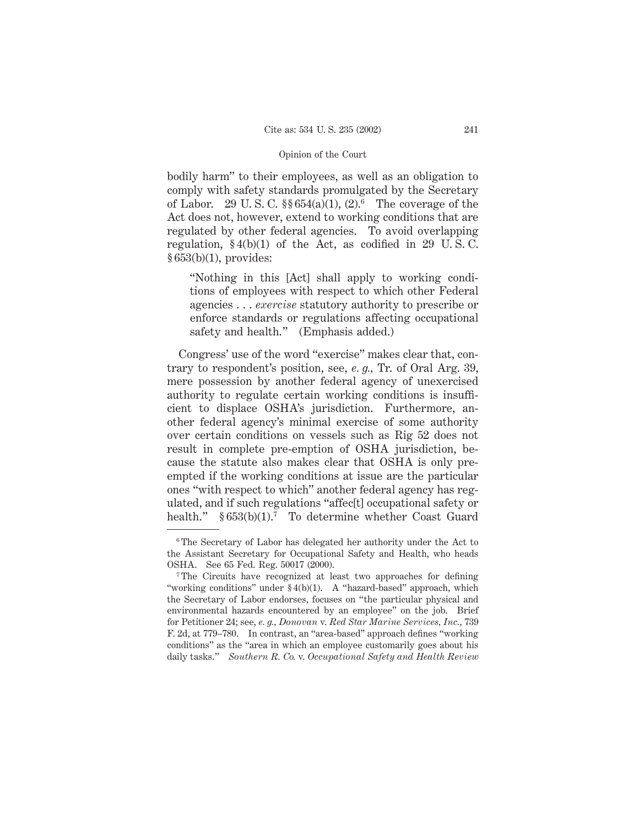bodily harm" to their employees, as well as an obligation to comply with safety standards promulgated by the Secretary of Labor. 29 U.S.C.  $\S § 654(a)(1), (2).^6$  The coverage of the Act does not, however, extend to working conditions that are regulated by other federal agencies. To avoid overlapping regulation,  $\S 4(b)(1)$  of the Act, as codified in 29 U.S.C. § 653(b)(1), provides:

"Nothing in this [Act] shall apply to working conditions of employees with respect to which other Federal agencies . . . *exercise* statutory authority to prescribe or enforce standards or regulations affecting occupational safety and health." (Emphasis added.)

Congress' use of the word "exercise" makes clear that, contrary to respondent's position, see, *e. g.,* Tr. of Oral Arg. 39, mere possession by another federal agency of unexercised authority to regulate certain working conditions is insufficient to displace OSHA's jurisdiction. Furthermore, another federal agency's minimal exercise of some authority over certain conditions on vessels such as Rig 52 does not result in complete pre-emption of OSHA jurisdiction, because the statute also makes clear that OSHA is only preempted if the working conditions at issue are the particular ones "with respect to which" another federal agency has regulated, and if such regulations "affec[t] occupational safety or health."  $§ 653(b)(1).$ <sup>7</sup> To determine whether Coast Guard

<sup>6</sup> The Secretary of Labor has delegated her authority under the Act to the Assistant Secretary for Occupational Safety and Health, who heads OSHA. See 65 Fed. Reg. 50017 (2000).

<sup>7</sup> The Circuits have recognized at least two approaches for defining "working conditions" under § 4(b)(1). A "hazard-based" approach, which the Secretary of Labor endorses, focuses on "the particular physical and environmental hazards encountered by an employee" on the job. Brief for Petitioner 24; see, *e. g., Donovan* v. *Red Star Marine Services, Inc.,* 739 F. 2d, at 779–780. In contrast, an "area-based" approach defines "working conditions" as the "area in which an employee customarily goes about his daily tasks." *Southern R. Co.* v. *Occupational Safety and Health Review*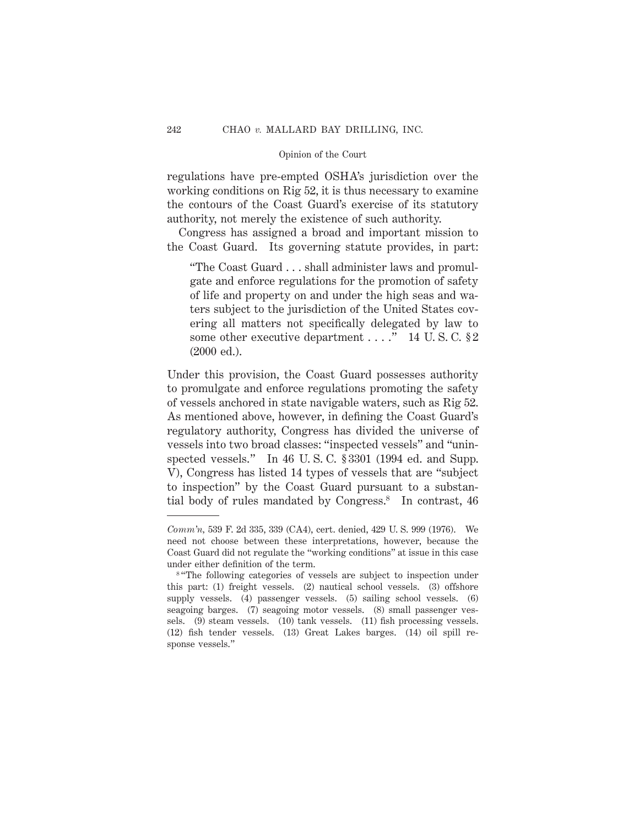regulations have pre-empted OSHA's jurisdiction over the working conditions on Rig 52, it is thus necessary to examine the contours of the Coast Guard's exercise of its statutory authority, not merely the existence of such authority.

Congress has assigned a broad and important mission to the Coast Guard. Its governing statute provides, in part:

"The Coast Guard . . . shall administer laws and promulgate and enforce regulations for the promotion of safety of life and property on and under the high seas and waters subject to the jurisdiction of the United States covering all matters not specifically delegated by law to some other executive department . . . ." 14 U.S.C. § 2 (2000 ed.).

Under this provision, the Coast Guard possesses authority to promulgate and enforce regulations promoting the safety of vessels anchored in state navigable waters, such as Rig 52. As mentioned above, however, in defining the Coast Guard's regulatory authority, Congress has divided the universe of vessels into two broad classes: "inspected vessels" and "uninspected vessels." In 46 U.S.C. § 3301 (1994 ed. and Supp. V), Congress has listed 14 types of vessels that are "subject to inspection" by the Coast Guard pursuant to a substantial body of rules mandated by Congress.8 In contrast, 46

*Comm'n,* 539 F. 2d 335, 339 (CA4), cert. denied, 429 U. S. 999 (1976). We need not choose between these interpretations, however, because the Coast Guard did not regulate the "working conditions" at issue in this case under either definition of the term.

<sup>&</sup>lt;sup>8 "The</sup> following categories of vessels are subject to inspection under this part: (1) freight vessels. (2) nautical school vessels. (3) offshore supply vessels. (4) passenger vessels. (5) sailing school vessels. (6) seagoing barges. (7) seagoing motor vessels. (8) small passenger vessels. (9) steam vessels. (10) tank vessels. (11) fish processing vessels. (12) fish tender vessels. (13) Great Lakes barges. (14) oil spill response vessels."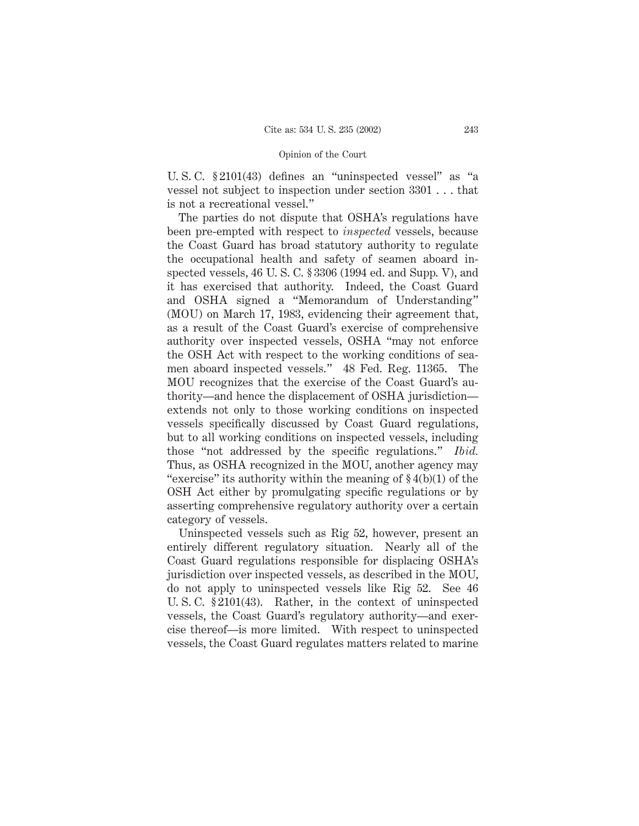U. S. C. § 2101(43) defines an "uninspected vessel" as "a vessel not subject to inspection under section 3301 . . . that is not a recreational vessel."

The parties do not dispute that OSHA's regulations have been pre-empted with respect to *inspected* vessels, because the Coast Guard has broad statutory authority to regulate the occupational health and safety of seamen aboard inspected vessels, 46 U. S. C. § 3306 (1994 ed. and Supp. V), and it has exercised that authority. Indeed, the Coast Guard and OSHA signed a "Memorandum of Understanding" (MOU) on March 17, 1983, evidencing their agreement that, as a result of the Coast Guard's exercise of comprehensive authority over inspected vessels, OSHA "may not enforce the OSH Act with respect to the working conditions of seamen aboard inspected vessels." 48 Fed. Reg. 11365. The MOU recognizes that the exercise of the Coast Guard's authority—and hence the displacement of OSHA jurisdiction extends not only to those working conditions on inspected vessels specifically discussed by Coast Guard regulations, but to all working conditions on inspected vessels, including those "not addressed by the specific regulations." *Ibid.* Thus, as OSHA recognized in the MOU, another agency may "exercise" its authority within the meaning of  $\S 4(b)(1)$  of the OSH Act either by promulgating specific regulations or by asserting comprehensive regulatory authority over a certain category of vessels.

Uninspected vessels such as Rig 52, however, present an entirely different regulatory situation. Nearly all of the Coast Guard regulations responsible for displacing OSHA's jurisdiction over inspected vessels, as described in the MOU, do not apply to uninspected vessels like Rig 52. See 46 U. S. C. § 2101(43). Rather, in the context of uninspected vessels, the Coast Guard's regulatory authority—and exercise thereof—is more limited. With respect to uninspected vessels, the Coast Guard regulates matters related to marine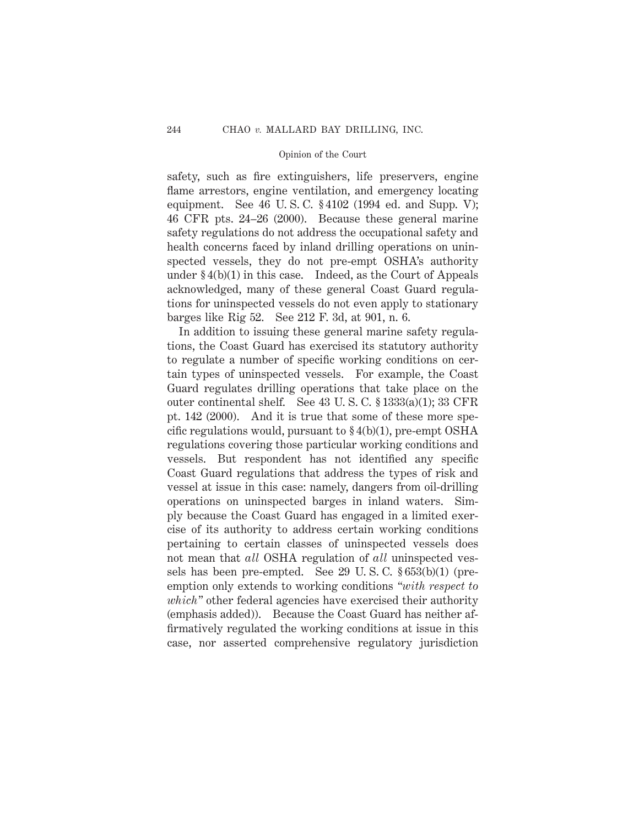safety, such as fire extinguishers, life preservers, engine flame arrestors, engine ventilation, and emergency locating equipment. See 46 U. S. C. § 4102 (1994 ed. and Supp. V); 46 CFR pts. 24–26 (2000). Because these general marine safety regulations do not address the occupational safety and health concerns faced by inland drilling operations on uninspected vessels, they do not pre-empt OSHA's authority under  $\S 4(b)(1)$  in this case. Indeed, as the Court of Appeals acknowledged, many of these general Coast Guard regulations for uninspected vessels do not even apply to stationary barges like Rig 52. See 212 F. 3d, at 901, n. 6.

In addition to issuing these general marine safety regulations, the Coast Guard has exercised its statutory authority to regulate a number of specific working conditions on certain types of uninspected vessels. For example, the Coast Guard regulates drilling operations that take place on the outer continental shelf. See 43 U. S. C. § 1333(a)(1); 33 CFR pt. 142 (2000). And it is true that some of these more specific regulations would, pursuant to  $\S 4(b)(1)$ , pre-empt OSHA regulations covering those particular working conditions and vessels. But respondent has not identified any specific Coast Guard regulations that address the types of risk and vessel at issue in this case: namely, dangers from oil-drilling operations on uninspected barges in inland waters. Simply because the Coast Guard has engaged in a limited exercise of its authority to address certain working conditions pertaining to certain classes of uninspected vessels does not mean that *all* OSHA regulation of *all* uninspected vessels has been pre-empted. See 29 U. S. C. § 653(b)(1) (preemption only extends to working conditions *"with respect to which"* other federal agencies have exercised their authority (emphasis added)). Because the Coast Guard has neither affirmatively regulated the working conditions at issue in this case, nor asserted comprehensive regulatory jurisdiction